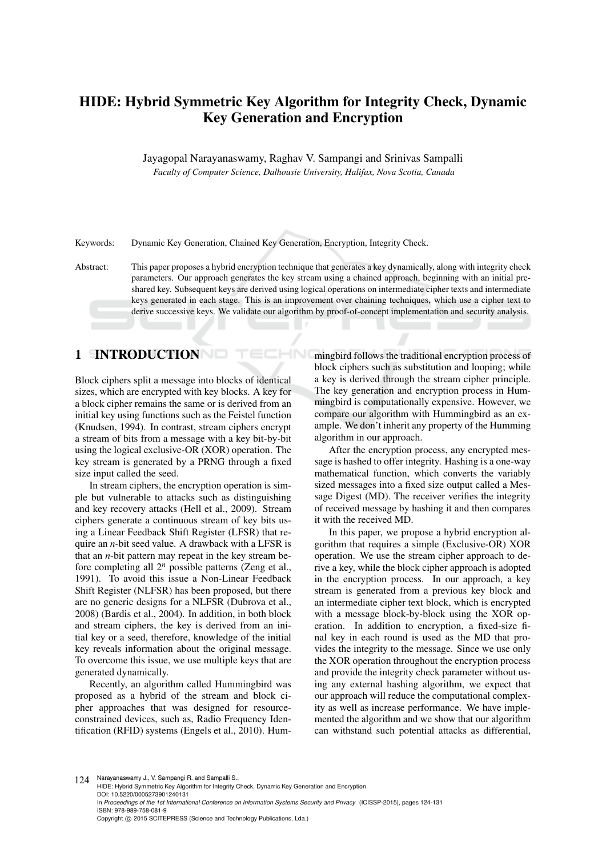# HIDE: Hybrid Symmetric Key Algorithm for Integrity Check, Dynamic Key Generation and Encryption

Jayagopal Narayanaswamy, Raghav V. Sampangi and Srinivas Sampalli *Faculty of Computer Science, Dalhousie University, Halifax, Nova Scotia, Canada*

Keywords: Dynamic Key Generation, Chained Key Generation, Encryption, Integrity Check.

Abstract: This paper proposes a hybrid encryption technique that generates a key dynamically, along with integrity check parameters. Our approach generates the key stream using a chained approach, beginning with an initial preshared key. Subsequent keys are derived using logical operations on intermediate cipher texts and intermediate keys generated in each stage. This is an improvement over chaining techniques, which use a cipher text to derive successive keys. We validate our algorithm by proof-of-concept implementation and security analysis.

# 1 INTRODUCTION

Block ciphers split a message into blocks of identical sizes, which are encrypted with key blocks. A key for a block cipher remains the same or is derived from an initial key using functions such as the Feistel function (Knudsen, 1994). In contrast, stream ciphers encrypt a stream of bits from a message with a key bit-by-bit using the logical exclusive-OR (XOR) operation. The key stream is generated by a PRNG through a fixed size input called the seed.

In stream ciphers, the encryption operation is simple but vulnerable to attacks such as distinguishing and key recovery attacks (Hell et al., 2009). Stream ciphers generate a continuous stream of key bits using a Linear Feedback Shift Register (LFSR) that require an *n*-bit seed value. A drawback with a LFSR is that an *n*-bit pattern may repeat in the key stream before completing all 2*<sup>n</sup>* possible patterns (Zeng et al., 1991). To avoid this issue a Non-Linear Feedback Shift Register (NLFSR) has been proposed, but there are no generic designs for a NLFSR (Dubrova et al., 2008) (Bardis et al., 2004). In addition, in both block and stream ciphers, the key is derived from an initial key or a seed, therefore, knowledge of the initial key reveals information about the original message. To overcome this issue, we use multiple keys that are generated dynamically.

Recently, an algorithm called Hummingbird was proposed as a hybrid of the stream and block cipher approaches that was designed for resourceconstrained devices, such as, Radio Frequency Identification (RFID) systems (Engels et al., 2010). Hummingbird follows the traditional encryption process of block ciphers such as substitution and looping; while a key is derived through the stream cipher principle. The key generation and encryption process in Hummingbird is computationally expensive. However, we compare our algorithm with Hummingbird as an example. We don't inherit any property of the Humming algorithm in our approach.

After the encryption process, any encrypted message is hashed to offer integrity. Hashing is a one-way mathematical function, which converts the variably sized messages into a fixed size output called a Message Digest (MD). The receiver verifies the integrity of received message by hashing it and then compares it with the received MD.

In this paper, we propose a hybrid encryption algorithm that requires a simple (Exclusive-OR) XOR operation. We use the stream cipher approach to derive a key, while the block cipher approach is adopted in the encryption process. In our approach, a key stream is generated from a previous key block and an intermediate cipher text block, which is encrypted with a message block-by-block using the XOR operation. In addition to encryption, a fixed-size final key in each round is used as the MD that provides the integrity to the message. Since we use only the XOR operation throughout the encryption process and provide the integrity check parameter without using any external hashing algorithm, we expect that our approach will reduce the computational complexity as well as increase performance. We have implemented the algorithm and we show that our algorithm can withstand such potential attacks as differential,

124 Narayanaswamy J., V. Sampangi R. and Sampalli S. HIDE: Hybrid Symmetric Key Algorithm for Integrity Check, Dynamic Key Generation and Encryption. DOI: 10.5220/0005273901240131 In *Proceedings of the 1st International Conference on Information Systems Security and Privacy* (ICISSP-2015), pages 124-131 ISBN: 978-989-758-081-9 Copyright © 2015 SCITEPRESS (Science and Technology Publications, Lda.)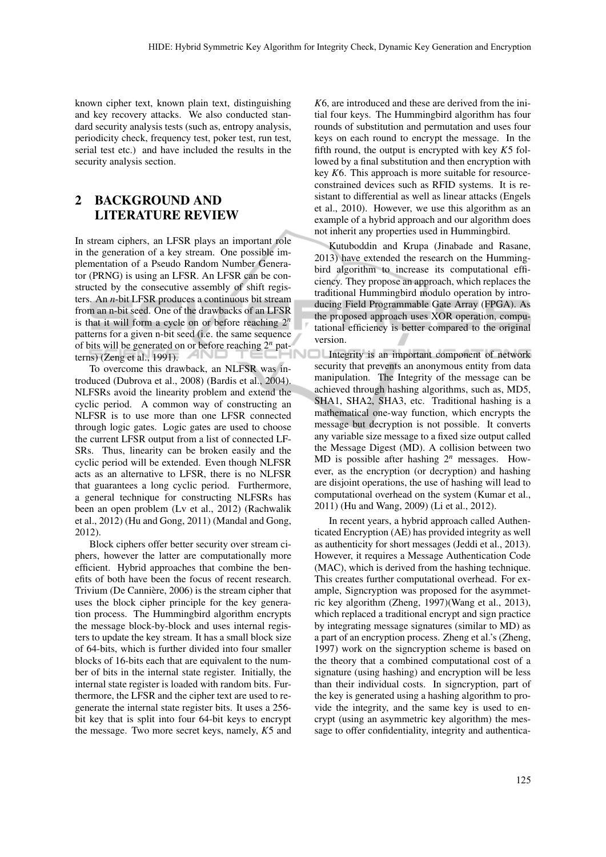known cipher text, known plain text, distinguishing and key recovery attacks. We also conducted standard security analysis tests (such as, entropy analysis, periodicity check, frequency test, poker test, run test, serial test etc.) and have included the results in the security analysis section.

## 2 BACKGROUND AND LITERATURE REVIEW

In stream ciphers, an LFSR plays an important role in the generation of a key stream. One possible implementation of a Pseudo Random Number Generator (PRNG) is using an LFSR. An LFSR can be constructed by the consecutive assembly of shift registers. An *n*-bit LFSR produces a continuous bit stream from an n-bit seed. One of the drawbacks of an LFSR is that it will form a cycle on or before reaching 2*<sup>n</sup>* patterns for a given n-bit seed (i.e. the same sequence of bits will be generated on or before reaching 2*<sup>n</sup>* patterns) (Zeng et al., 1991). ANI

To overcome this drawback, an NLFSR was introduced (Dubrova et al., 2008) (Bardis et al., 2004). NLFSRs avoid the linearity problem and extend the cyclic period. A common way of constructing an NLFSR is to use more than one LFSR connected through logic gates. Logic gates are used to choose the current LFSR output from a list of connected LF-SRs. Thus, linearity can be broken easily and the cyclic period will be extended. Even though NLFSR acts as an alternative to LFSR, there is no NLFSR that guarantees a long cyclic period. Furthermore, a general technique for constructing NLFSRs has been an open problem (Lv et al., 2012) (Rachwalik et al., 2012) (Hu and Gong, 2011) (Mandal and Gong, 2012).

Block ciphers offer better security over stream ciphers, however the latter are computationally more efficient. Hybrid approaches that combine the benefits of both have been the focus of recent research. Trivium (De Cannière, 2006) is the stream cipher that uses the block cipher principle for the key generation process. The Hummingbird algorithm encrypts the message block-by-block and uses internal registers to update the key stream. It has a small block size of 64-bits, which is further divided into four smaller blocks of 16-bits each that are equivalent to the number of bits in the internal state register. Initially, the internal state register is loaded with random bits. Furthermore, the LFSR and the cipher text are used to regenerate the internal state register bits. It uses a 256 bit key that is split into four 64-bit keys to encrypt the message. Two more secret keys, namely, *K*5 and

*K*6, are introduced and these are derived from the initial four keys. The Hummingbird algorithm has four rounds of substitution and permutation and uses four keys on each round to encrypt the message. In the fifth round, the output is encrypted with key *K*5 followed by a final substitution and then encryption with key *K*6. This approach is more suitable for resourceconstrained devices such as RFID systems. It is resistant to differential as well as linear attacks (Engels et al., 2010). However, we use this algorithm as an example of a hybrid approach and our algorithm does not inherit any properties used in Hummingbird.

Kutuboddin and Krupa (Jinabade and Rasane, 2013) have extended the research on the Hummingbird algorithm to increase its computational efficiency. They propose an approach, which replaces the traditional Hummingbird modulo operation by introducing Field Programmable Gate Array (FPGA). As the proposed approach uses XOR operation, computational efficiency is better compared to the original version.

Integrity is an important component of network security that prevents an anonymous entity from data manipulation. The Integrity of the message can be achieved through hashing algorithms, such as, MD5, SHA1, SHA2, SHA3, etc. Traditional hashing is a mathematical one-way function, which encrypts the message but decryption is not possible. It converts any variable size message to a fixed size output called the Message Digest (MD). A collision between two MD is possible after hashing 2*<sup>n</sup>* messages. However, as the encryption (or decryption) and hashing are disjoint operations, the use of hashing will lead to computational overhead on the system (Kumar et al., 2011) (Hu and Wang, 2009) (Li et al., 2012).

In recent years, a hybrid approach called Authenticated Encryption (AE) has provided integrity as well as authenticity for short messages (Jeddi et al., 2013). However, it requires a Message Authentication Code (MAC), which is derived from the hashing technique. This creates further computational overhead. For example, Signcryption was proposed for the asymmetric key algorithm (Zheng, 1997)(Wang et al., 2013), which replaced a traditional encrypt and sign practice by integrating message signatures (similar to MD) as a part of an encryption process. Zheng et al.'s (Zheng, 1997) work on the signcryption scheme is based on the theory that a combined computational cost of a signature (using hashing) and encryption will be less than their individual costs. In signcryption, part of the key is generated using a hashing algorithm to provide the integrity, and the same key is used to encrypt (using an asymmetric key algorithm) the message to offer confidentiality, integrity and authentica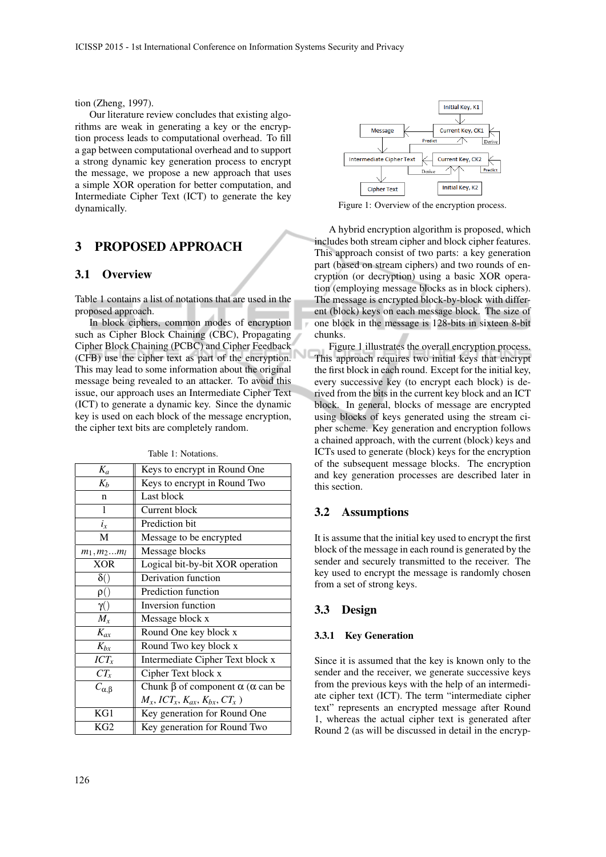tion (Zheng, 1997).

Our literature review concludes that existing algorithms are weak in generating a key or the encryption process leads to computational overhead. To fill a gap between computational overhead and to support a strong dynamic key generation process to encrypt the message, we propose a new approach that uses a simple XOR operation for better computation, and Intermediate Cipher Text (ICT) to generate the key dynamically.

## 3 PROPOSED APPROACH

#### 3.1 Overview

Table 1 contains a list of notations that are used in the proposed approach.

In block ciphers, common modes of encryption such as Cipher Block Chaining (CBC), Propagating Cipher Block Chaining (PCBC) and Cipher Feedback (CFB) use the cipher text as part of the encryption. This may lead to some information about the original message being revealed to an attacker. To avoid this issue, our approach uses an Intermediate Cipher Text (ICT) to generate a dynamic key. Since the dynamic key is used on each block of the message encryption, the cipher text bits are completely random.

| $K_a$              | Keys to encrypt in Round One                                       |  |  |  |
|--------------------|--------------------------------------------------------------------|--|--|--|
| $K_b$              | Keys to encrypt in Round Two                                       |  |  |  |
| n                  | Last block                                                         |  |  |  |
| 1                  | Current block                                                      |  |  |  |
| $i_x$              | Prediction bit                                                     |  |  |  |
| М                  | Message to be encrypted                                            |  |  |  |
| $m_1, m_2m_l$      | Message blocks                                                     |  |  |  |
| <b>XOR</b>         | Logical bit-by-bit XOR operation                                   |  |  |  |
| $\delta()$         | Derivation function                                                |  |  |  |
| $\rho()$           | Prediction function                                                |  |  |  |
| $\gamma()$         | Inversion function                                                 |  |  |  |
| $M_{x}$            | Message block x                                                    |  |  |  |
| $K_{ax}$           | Round One key block x                                              |  |  |  |
| $K_{bx}$           | Round Two key block x                                              |  |  |  |
| $ICT_x$            | Intermediate Cipher Text block x                                   |  |  |  |
| $CT_x$             | Cipher Text block x                                                |  |  |  |
| $C_{\alpha,\beta}$ | Chunk $\beta$ of component $\alpha$ ( $\alpha$ can be              |  |  |  |
|                    | $M_x$ , ICT <sub>x</sub> , $K_{ax}$ , $K_{bx}$ , CT <sub>x</sub> ) |  |  |  |
| KG1                | Key generation for Round One                                       |  |  |  |
| KG <sub>2</sub>    | Key generation for Round Two                                       |  |  |  |

Table 1: Notations.



Figure 1: Overview of the encryption process.

A hybrid encryption algorithm is proposed, which includes both stream cipher and block cipher features. This approach consist of two parts: a key generation part (based on stream ciphers) and two rounds of encryption (or decryption) using a basic XOR operation (employing message blocks as in block ciphers). The message is encrypted block-by-block with different (block) keys on each message block. The size of one block in the message is 128-bits in sixteen 8-bit chunks.

Figure 1 illustrates the overall encryption process. This approach requires two initial keys that encrypt the first block in each round. Except for the initial key, every successive key (to encrypt each block) is derived from the bits in the current key block and an ICT block. In general, blocks of message are encrypted using blocks of keys generated using the stream cipher scheme. Key generation and encryption follows a chained approach, with the current (block) keys and ICTs used to generate (block) keys for the encryption of the subsequent message blocks. The encryption and key generation processes are described later in this section.

### 3.2 Assumptions

It is assume that the initial key used to encrypt the first block of the message in each round is generated by the sender and securely transmitted to the receiver. The key used to encrypt the message is randomly chosen from a set of strong keys.

#### 3.3 Design

#### 3.3.1 Key Generation

Since it is assumed that the key is known only to the sender and the receiver, we generate successive keys from the previous keys with the help of an intermediate cipher text (ICT). The term "intermediate cipher text" represents an encrypted message after Round 1, whereas the actual cipher text is generated after Round 2 (as will be discussed in detail in the encryp-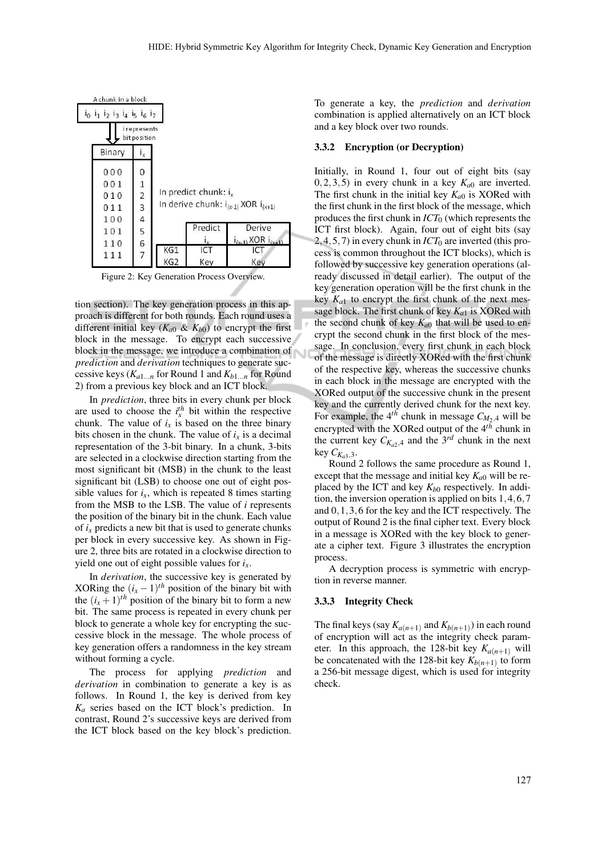| A chunk in a block                              |                             |                                                                         |         |                             |  |
|-------------------------------------------------|-----------------------------|-------------------------------------------------------------------------|---------|-----------------------------|--|
| $i_0$ $i_1$ $i_2$ $i_3$ $i_4$ $i_5$ $i_6$ $i_7$ |                             |                                                                         |         |                             |  |
|                                                 | i represents<br>bitposition |                                                                         |         |                             |  |
| Binary                                          |                             |                                                                         |         |                             |  |
| 000                                             | 0                           |                                                                         |         |                             |  |
| 001                                             |                             |                                                                         |         |                             |  |
| 010                                             | $\frac{1}{2}$               | In predict chunk: $i_x$<br>In derive chunk: $i_{(x-1)}$ XOR $i_{(x+1)}$ |         |                             |  |
| 011                                             | 3                           |                                                                         |         |                             |  |
| 100                                             | $\overline{a}$              |                                                                         |         |                             |  |
| 101                                             |                             |                                                                         | Predict | Derive                      |  |
| 110                                             | 5<br>6                      |                                                                         |         | $i_{(x-1)}$ XOR $i_{(x+1)}$ |  |
| 111                                             | $\overline{7}$              | KG1                                                                     |         | ICT                         |  |
|                                                 |                             | KG <sub>2</sub>                                                         | Key     | Key                         |  |

Figure 2: Key Generation Process Overview.

tion section). The key generation process in this approach is different for both rounds. Each round uses a different initial key  $(K_{a0} \& K_{b0})$  to encrypt the first block in the message. To encrypt each successive block in the message, we introduce a combination of *prediction* and *derivation* techniques to generate successive keys ( $K_{a1...n}$  for Round 1 and  $K_{b1...n}$  for Round 2) from a previous key block and an ICT block.

In *prediction*, three bits in every chunk per block are used to choose the  $i_x^{th}$  bit within the respective chunk. The value of  $i_x$  is based on the three binary bits chosen in the chunk. The value of  $i_x$  is a decimal representation of the 3-bit binary. In a chunk, 3-bits are selected in a clockwise direction starting from the most significant bit (MSB) in the chunk to the least significant bit (LSB) to choose one out of eight possible values for  $i_x$ , which is repeated 8 times starting from the MSB to the LSB. The value of *i* represents the position of the binary bit in the chunk. Each value of  $i<sub>x</sub>$  predicts a new bit that is used to generate chunks per block in every successive key. As shown in Figure 2, three bits are rotated in a clockwise direction to yield one out of eight possible values for  $i<sub>x</sub>$ .

In *derivation*, the successive key is generated by XORing the  $(i_x - 1)$ <sup>th</sup> position of the binary bit with the  $(i_x + 1)$ <sup>th</sup> position of the binary bit to form a new bit. The same process is repeated in every chunk per block to generate a whole key for encrypting the successive block in the message. The whole process of key generation offers a randomness in the key stream without forming a cycle.

The process for applying *prediction* and *derivation* in combination to generate a key is as follows. In Round 1, the key is derived from key *K<sup>a</sup>* series based on the ICT block's prediction. In contrast, Round 2's successive keys are derived from the ICT block based on the key block's prediction.

To generate a key, the *prediction* and *derivation* combination is applied alternatively on an ICT block and a key block over two rounds.

#### 3.3.2 Encryption (or Decryption)

Initially, in Round 1, four out of eight bits (say  $(0,2,3,5)$  in every chunk in a key  $K_{a0}$  are inverted. The first chunk in the initial key  $K_{a0}$  is XORed with the first chunk in the first block of the message, which produces the first chunk in *ICT*<sup>0</sup> (which represents the ICT first block). Again, four out of eight bits (say 2, 4, 5, 7) in every chunk in  $ICT_0$  are inverted (this process is common throughout the ICT blocks), which is followed by successive key generation operations (already discussed in detail earlier). The output of the key generation operation will be the first chunk in the key  $K_{a1}$  to encrypt the first chunk of the next message block. The first chunk of key *Ka*<sup>1</sup> is XORed with the second chunk of key  $K_{a0}$  that will be used to encrypt the second chunk in the first block of the message. In conclusion, every first chunk in each block of the message is directly XORed with the first chunk of the respective key, whereas the successive chunks in each block in the message are encrypted with the XORed output of the successive chunk in the present key and the currently derived chunk for the next key. For example, the  $4^{th}$  chunk in message  $C_{M_2,4}$  will be encrypted with the XORed output of the 4*th* chunk in the current key  $C_{K_{a2},4}$  and the 3<sup>rd</sup> chunk in the next  $key C_{K_{a3},3}$ .

Round 2 follows the same procedure as Round 1, except that the message and initial key  $K_{a0}$  will be replaced by the ICT and key  $K_{b0}$  respectively. In addition, the inversion operation is applied on bits 1,4,6,7 and 0,1,3,6 for the key and the ICT respectively. The output of Round 2 is the final cipher text. Every block in a message is XORed with the key block to generate a cipher text. Figure 3 illustrates the encryption process.

A decryption process is symmetric with encryption in reverse manner.

#### 3.3.3 Integrity Check

The final keys (say  $K_{a(n+1)}$  and  $K_{b(n+1)}$ ) in each round of encryption will act as the integrity check parameter. In this approach, the 128-bit key  $K_{a(n+1)}$  will be concatenated with the 128-bit key  $K_{b(n+1)}$  to form a 256-bit message digest, which is used for integrity check.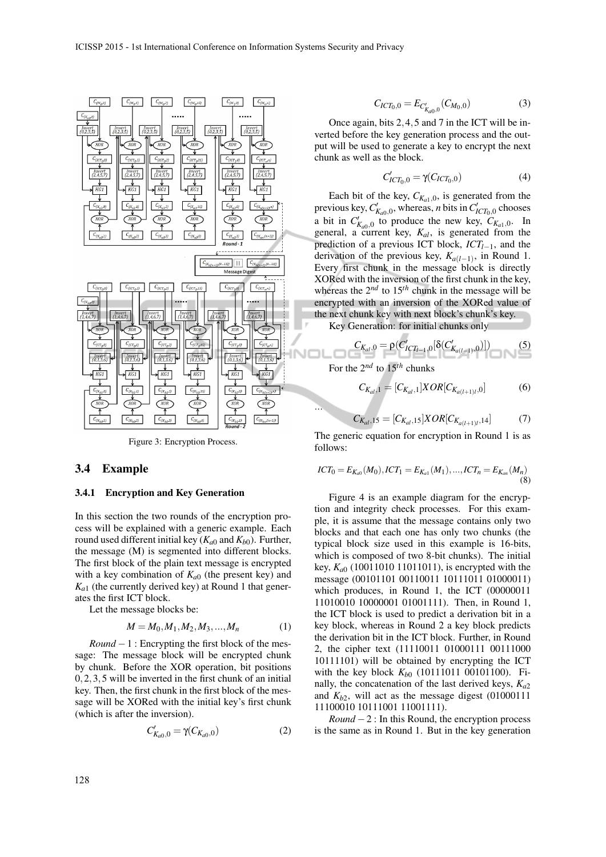

Figure 3: Encryption Process.

#### 3.4 Example

#### 3.4.1 Encryption and Key Generation

In this section the two rounds of the encryption process will be explained with a generic example. Each round used different initial key  $(K_{a0}$  and  $K_{b0})$ . Further, the message (M) is segmented into different blocks. The first block of the plain text message is encrypted with a key combination of  $K_{a0}$  (the present key) and  $K_{a1}$  (the currently derived key) at Round 1 that generates the first ICT block.

Let the message blocks be:

$$
M = M_0, M_1, M_2, M_3, \dots, M_n \tag{1}
$$

*Round* − 1 : Encrypting the first block of the message: The message block will be encrypted chunk by chunk. Before the XOR operation, bit positions 0,2,3,5 will be inverted in the first chunk of an initial key. Then, the first chunk in the first block of the message will be XORed with the initial key's first chunk (which is after the inversion).

$$
C'_{K_{a0},0} = \gamma(C_{K_{a0},0})
$$
 (2)

$$
C_{ICT_0,0} = E_{C'_{K_{a0},0}}(C_{M_0,0})
$$
\n(3)

Once again, bits 2,4,5 and 7 in the ICT will be inverted before the key generation process and the output will be used to generate a key to encrypt the next chunk as well as the block.

$$
C'_{ICT_0,0} = \gamma(C_{ICT_0,0})
$$
 (4)

Each bit of the key,  $C_{K_{a1},0}$ , is generated from the previous key,  $C'_{K_{a0},0}$ , whereas, *n* bits in  $C'_{ICT_0,0}$  chooses a bit in  $C'_{K_{a0},0}$  to produce the new key,  $C_{K_{a1},0}$ . In general, a current key, *Kal*, is generated from the prediction of a previous ICT block, *ICTl*−1, and the derivation of the previous key,  $K_{a(l-1)}$ , in Round 1. Every first chunk in the message block is directly XORed with the inversion of the first chunk in the key, whereas the  $2^{nd}$  to  $15^{th}$  chunk in the message will be encrypted with an inversion of the XORed value of the next chunk key with next block's chunk's key.

Key Generation: for initial chunks only

$$
C_{K_{al},0} = \rho(C'_{ICT_{l-1},0}[\delta(C'_{K_{a(l-1)},0})])
$$
\n(5)

For the 2*nd* to 15*th* chunks

...

$$
C_{K_{al},1} = [C_{K_{al},1}] XOR[C_{K_{a(l+1)l},0}] \tag{6}
$$

$$
C_{K_{al},15} = [C_{K_{al},15}] XOR[C_{K_{a(l+1)l},14}] \tag{7}
$$

The generic equation for encryption in Round 1 is as follows:

$$
ICT_0 = E_{K_{a0}}(M_0), ICT_1 = E_{K_{a1}}(M_1), ..., ICT_n = E_{K_{a0}}(M_n)
$$
\n(8)

Figure 4 is an example diagram for the encryption and integrity check processes. For this example, it is assume that the message contains only two blocks and that each one has only two chunks (the typical block size used in this example is 16-bits, which is composed of two 8-bit chunks). The initial key,  $K_{a0}$  (10011010 11011011), is encrypted with the message (00101101 00110011 10111011 01000011) which produces, in Round 1, the ICT (00000011 11010010 10000001 01001111). Then, in Round 1, the ICT block is used to predict a derivation bit in a key block, whereas in Round 2 a key block predicts the derivation bit in the ICT block. Further, in Round 2, the cipher text (11110011 01000111 00111000 10111101) will be obtained by encrypting the ICT with the key block  $K_{b0}$  (10111011 00101100). Finally, the concatenation of the last derived keys, *Ka*<sup>2</sup> and  $K_{h2}$ , will act as the message digest  $(01000111)$ 11100010 10111001 11001111).

*Round*  $-2$ : In this Round, the encryption process is the same as in Round 1. But in the key generation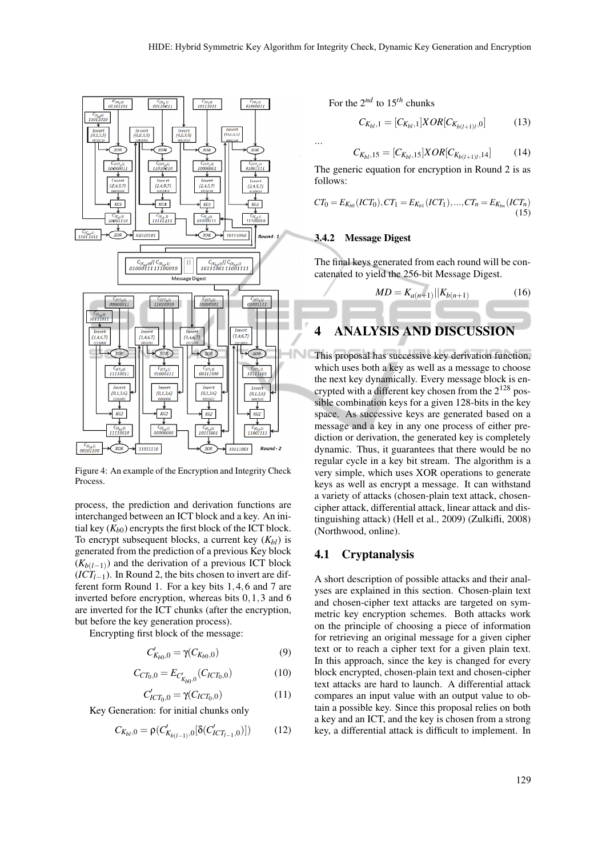...



Figure 4: An example of the Encryption and Integrity Check Process.

process, the prediction and derivation functions are interchanged between an ICT block and a key. An initial key  $(K_{b0})$  encrypts the first block of the ICT block. To encrypt subsequent blocks, a current key  $(K_{bl})$  is generated from the prediction of a previous Key block  $(K_{b(l-1)})$  and the derivation of a previous ICT block  $(\overrightarrow{ICT}_{l-1})$ . In Round 2, the bits chosen to invert are different form Round 1. For a key bits 1,4,6 and 7 are inverted before encryption, whereas bits 0,1,3 and 6 are inverted for the ICT chunks (after the encryption, but before the key generation process).

Encrypting first block of the message:

$$
C'_{K_{b0},0} = \gamma(C_{K_{b0},0})
$$
\n(9)

$$
C_{CT_0,0} = E_{C'_{K_{b0},0}}(C_{ICT_0,0})
$$
 (10)

$$
C'_{ICT_0,0} = \gamma(C_{ICT_0,0})
$$
 (11)

Key Generation: for initial chunks only

$$
C_{K_{bl},0} = \rho(C'_{K_{b(l-1)},0}[\delta(C'_{ICT_{l-1},0})])
$$
 (12)

For the 2*nd* to 15*th* chunks

$$
C_{K_{bl},1} = [C_{K_{bl},1}]XOR[C_{K_{b(l+1)l},0}] \tag{13}
$$

$$
C_{K_{bl},15} = [C_{K_{bl},15}] \times OR[C_{K_{b(l+1)l},14}] \tag{14}
$$

The generic equation for encryption in Round 2 is as follows:

$$
CT_0 = E_{K_{b0}}(ICT_0), CT_1 = E_{K_{b1}}(ICT_1), ..., CT_n = E_{K_{bn}}(ICT_n)
$$
\n(15)

#### 3.4.2 Message Digest

The final keys generated from each round will be concatenated to yield the 256-bit Message Digest.

$$
MD = K_{a(n+1)}||K_{b(n+1)} \tag{16}
$$

# 4 ANALYSIS AND DISCUSSION

This proposal has successive key derivation function, which uses both a key as well as a message to choose the next key dynamically. Every message block is encrypted with a different key chosen from the  $2^{128}$  possible combination keys for a given 128-bits in the key space. As successive keys are generated based on a message and a key in any one process of either prediction or derivation, the generated key is completely dynamic. Thus, it guarantees that there would be no regular cycle in a key bit stream. The algorithm is a very simple, which uses XOR operations to generate keys as well as encrypt a message. It can withstand a variety of attacks (chosen-plain text attack, chosencipher attack, differential attack, linear attack and distinguishing attack) (Hell et al., 2009) (Zulkifli, 2008) (Northwood, online).

### 4.1 Cryptanalysis

A short description of possible attacks and their analyses are explained in this section. Chosen-plain text and chosen-cipher text attacks are targeted on symmetric key encryption schemes. Both attacks work on the principle of choosing a piece of information for retrieving an original message for a given cipher text or to reach a cipher text for a given plain text. In this approach, since the key is changed for every block encrypted, chosen-plain text and chosen-cipher text attacks are hard to launch. A differential attack compares an input value with an output value to obtain a possible key. Since this proposal relies on both a key and an ICT, and the key is chosen from a strong key, a differential attack is difficult to implement. In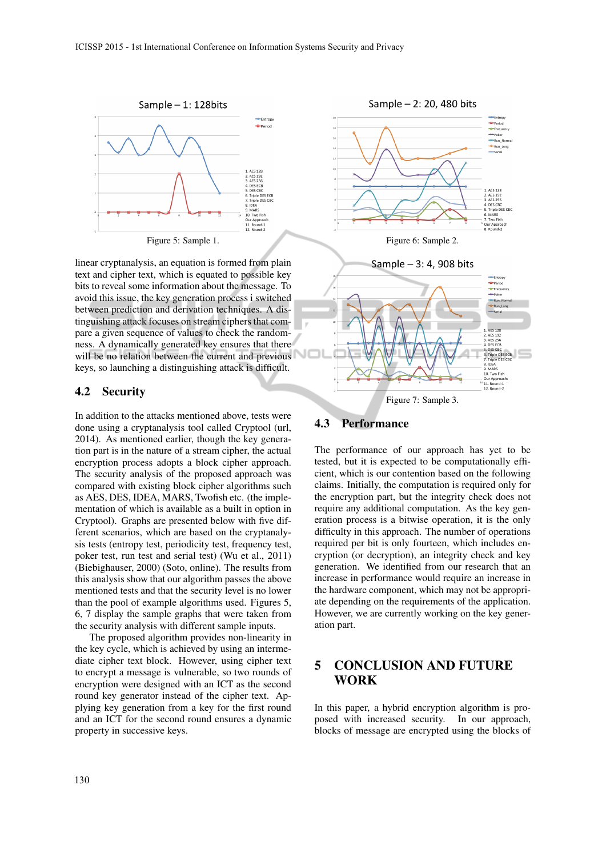

linear cryptanalysis, an equation is formed from plain text and cipher text, which is equated to possible key bits to reveal some information about the message. To avoid this issue, the key generation process i switched between prediction and derivation techniques. A distinguishing attack focuses on stream ciphers that compare a given sequence of values to check the randomness. A dynamically generated key ensures that there will be no relation between the current and previous keys, so launching a distinguishing attack is difficult.

### 4.2 Security

In addition to the attacks mentioned above, tests were done using a cryptanalysis tool called Cryptool (url, 2014). As mentioned earlier, though the key generation part is in the nature of a stream cipher, the actual encryption process adopts a block cipher approach. The security analysis of the proposed approach was compared with existing block cipher algorithms such as AES, DES, IDEA, MARS, Twofish etc. (the implementation of which is available as a built in option in Cryptool). Graphs are presented below with five different scenarios, which are based on the cryptanalysis tests (entropy test, periodicity test, frequency test, poker test, run test and serial test) (Wu et al., 2011) (Biebighauser, 2000) (Soto, online). The results from this analysis show that our algorithm passes the above mentioned tests and that the security level is no lower than the pool of example algorithms used. Figures 5, 6, 7 display the sample graphs that were taken from the security analysis with different sample inputs.

The proposed algorithm provides non-linearity in the key cycle, which is achieved by using an intermediate cipher text block. However, using cipher text to encrypt a message is vulnerable, so two rounds of encryption were designed with an ICT as the second round key generator instead of the cipher text. Applying key generation from a key for the first round and an ICT for the second round ensures a dynamic property in successive keys.





Figure 7: Sample 3.

#### 4.3 Performance

The performance of our approach has yet to be tested, but it is expected to be computationally efficient, which is our contention based on the following claims. Initially, the computation is required only for the encryption part, but the integrity check does not require any additional computation. As the key generation process is a bitwise operation, it is the only difficulty in this approach. The number of operations required per bit is only fourteen, which includes encryption (or decryption), an integrity check and key generation. We identified from our research that an increase in performance would require an increase in the hardware component, which may not be appropriate depending on the requirements of the application. However, we are currently working on the key generation part.

## 5 CONCLUSION AND FUTURE WORK

In this paper, a hybrid encryption algorithm is proposed with increased security. In our approach, blocks of message are encrypted using the blocks of